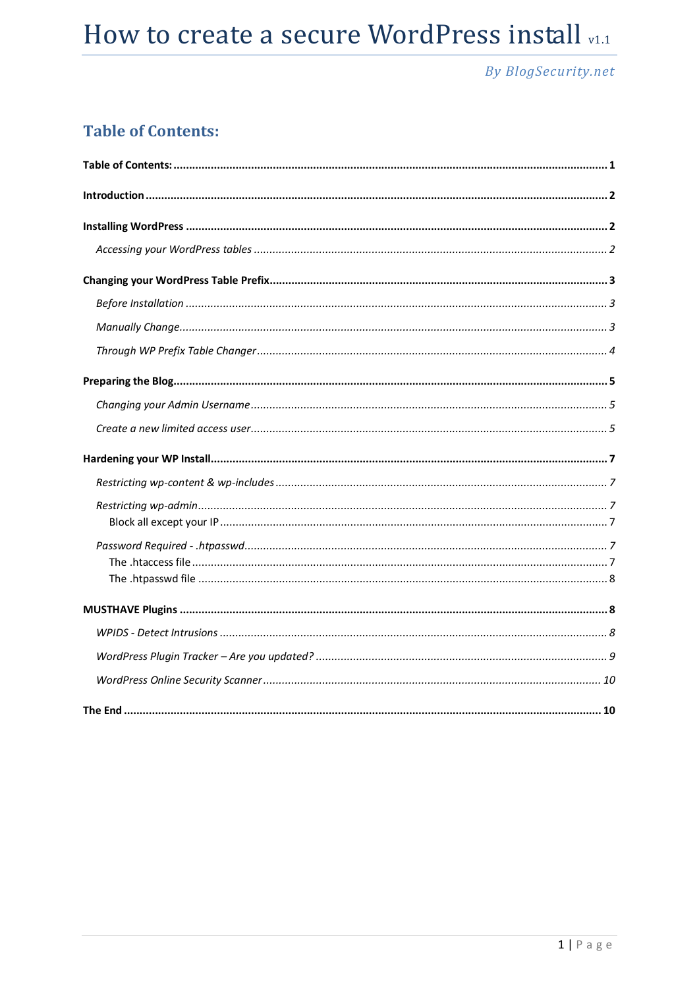## **By BlogSecurity.net**

## **Table of Contents:**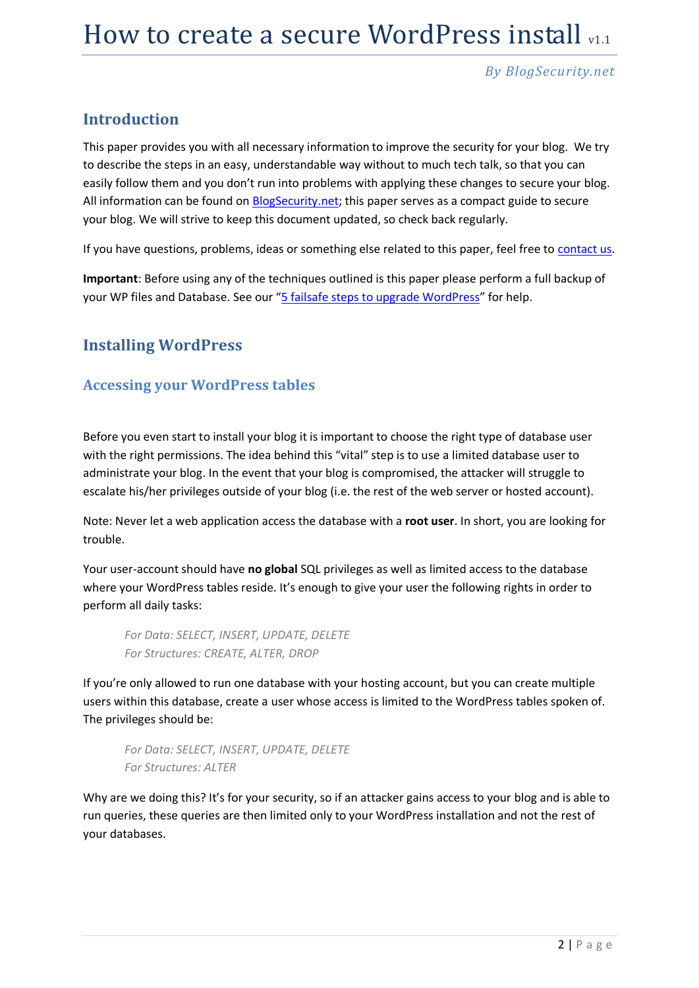### **Introduction**

This paper provides you with all necessary information to improve the security for your blog. We try to describe the steps in an easy, understandable way without to much tech talk, so that you can easily follow them and you don't run into problems with applying these changes to secure your blog. All information can be found on [BlogSecurity.net;](http://blogsecurity.net/) this paper serves as a compact guide to secure your blog. We will strive to keep this document updated, so check back regularly.

If you have questions, problems, ideas or something else related to this paper, feel free to [contact us.](http://blogsecurity.net/contact/)

**Important**: Before using any of the techniques outlined is this paper please perform a full backup of your WP files and Database. See our "[5 failsafe steps to upgrade WordPress](http://blogsecurity.net/wordpress/5-step-failsafe-upgrade-for-wordpress/)" for help.

### **Installing WordPress**

#### **Accessing your WordPress tables**

Before you even start to install your blog it is important to choose the right type of database user with the right permissions. The idea behind this "vital" step is to use a limited database user to administrate your blog. In the event that your blog is compromised, the attacker will struggle to escalate his/her privileges outside of your blog (i.e. the rest of the web server or hosted account).

Note: Never let a web application access the database with a **root user**. In short, you are looking for trouble.

Your user-account should have **no global** SQL privileges as well as limited access to the database where your WordPress tables reside. It's enough to give your user the following rights in order to perform all daily tasks:

*For Data: SELECT, INSERT, UPDATE, DELETE For Structures: CREATE, ALTER, DROP*

If you're only allowed to run one database with your hosting account, but you can create multiple users within this database, create a user whose access is limited to the WordPress tables spoken of. The privileges should be:

*For Data: SELECT, INSERT, UPDATE, DELETE For Structures: ALTER*

Why are we doing this? It's for your security, so if an attacker gains access to your blog and is able to run queries, these queries are then limited only to your WordPress installation and not the rest of your databases.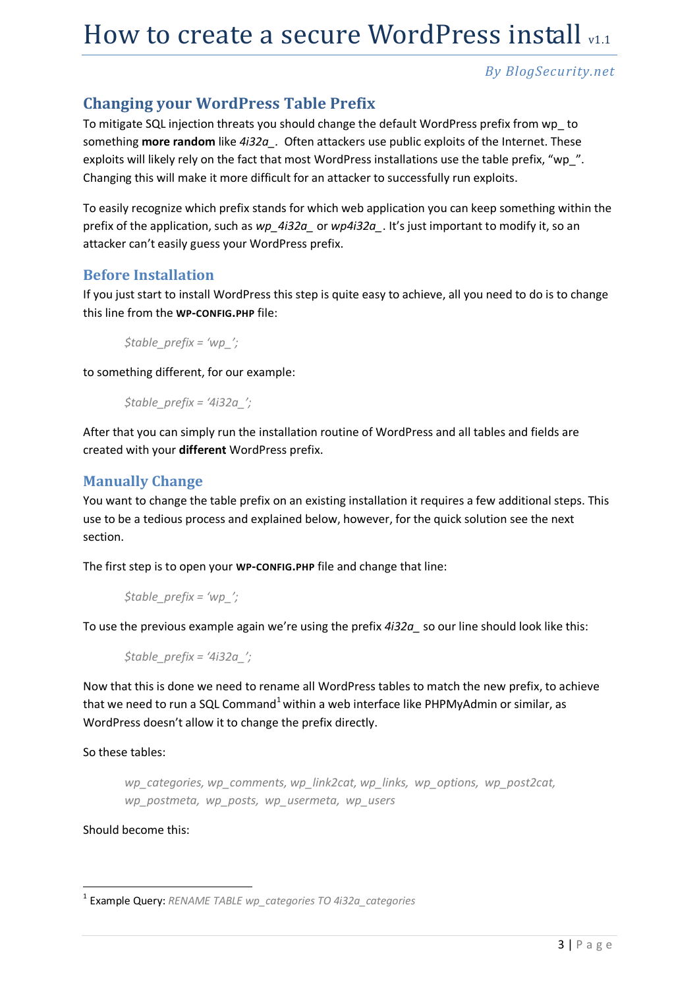### **Changing your WordPress Table Prefix**

To mitigate SQL injection threats you should change the default WordPress prefix from wp\_ to something **more random** like *4i32a\_.* Often attackers use public exploits of the Internet. These exploits will likely rely on the fact that most WordPress installations use the table prefix, "wp\_". Changing this will make it more difficult for an attacker to successfully run exploits.

To easily recognize which prefix stands for which web application you can keep something within the prefix of the application, such as *wp\_4i32a\_* or *wp4i32a\_*. It's just important to modify it, so an attacker can't easily guess your WordPress prefix.

#### **Before Installation**

If you just start to install WordPress this step is quite easy to achieve, all you need to do is to change this line from the **WP-CONFIG.PHP** file:

*\$table\_prefix = 'wp\_';*

to something different, for our example:

*\$table\_prefix = '4i32a\_';*

After that you can simply run the installation routine of WordPress and all tables and fields are created with your **different** WordPress prefix.

#### **Manually Change**

You want to change the table prefix on an existing installation it requires a few additional steps. This use to be a tedious process and explained below, however, for the quick solution see the next section.

The first step is to open your **WP-CONFIG.PHP** file and change that line:

$$
\text{Stable\_prefix} = \text{'wp'_};
$$

To use the previous example again we're using the prefix *4i32a\_* so our line should look like this:

*\$table\_prefix = '4i32a\_';*

Now that this is done we need to rename all WordPress tables to match the new prefix, to achieve that we need to run a SQL Command<sup>1</sup> within a web interface like PHPMyAdmin or similar, as WordPress doesn't allow it to change the prefix directly.

So these tables:

*wp\_categories, wp\_comments, wp\_link2cat, wp\_links, wp\_options, wp\_post2cat, wp\_postmeta, wp\_posts, wp\_usermeta, wp\_users*

#### Should become this:

 1 Example Query: *RENAME TABLE wp\_categories TO 4i32a\_categories*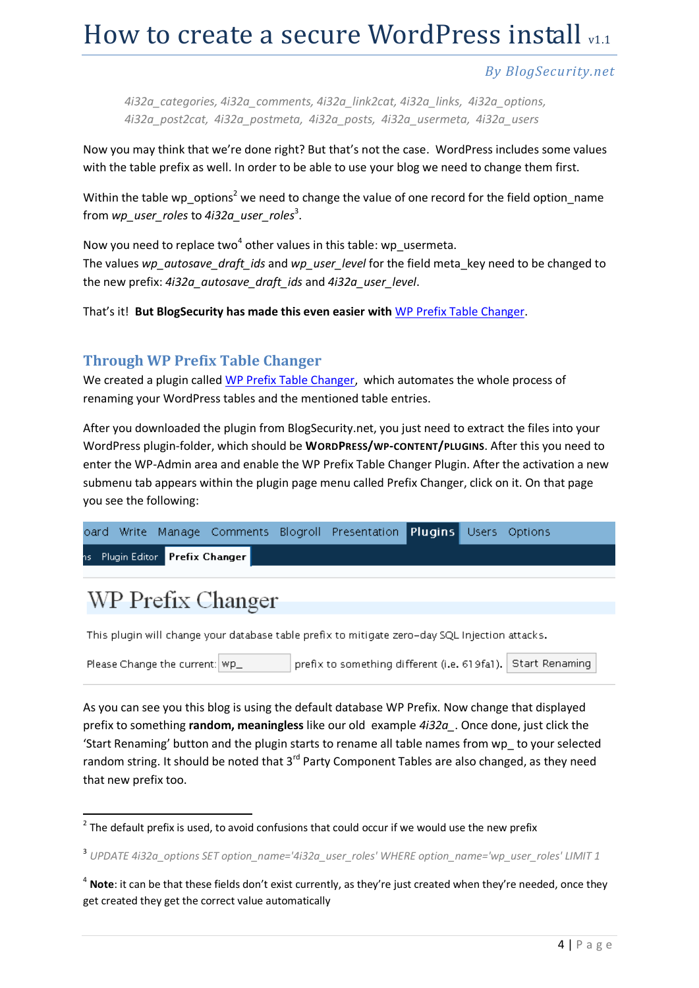#### *By BlogSecurity.net*

*4i32a\_categories, 4i32a\_comments, 4i32a\_link2cat, 4i32a\_links, 4i32a\_options, 4i32a\_post2cat, 4i32a\_postmeta, 4i32a\_posts, 4i32a\_usermeta, 4i32a\_users*

Now you may think that we're done right? But that's not the case. WordPress includes some values with the table prefix as well. In order to be able to use your blog we need to change them first.

Within the table wp\_options<sup>2</sup> we need to change the value of one record for the field option name from *wp\_user\_roles* to *4i32a\_user\_roles*<sup>3</sup> .

Now you need to replace two<sup>4</sup> other values in this table: wp\_usermeta. The values *wp\_autosave\_draft\_ids* and *wp\_user\_level* for the field meta\_key need to be changed to the new prefix: *4i32a\_autosave\_draft\_ids* and *4i32a\_user\_level*.

That's it! **But BlogSecurity has made this even easier with** [WP Prefix Table Changer.](http://blogsecurity.net/wordpress/tool-130707/)

#### **Through WP Prefix Table Changer**

We created a plugin called [WP Prefix Table Changer,](http://blogsecurity.net/wordpress/tool-130707/) which automates the whole process of renaming your WordPress tables and the mentioned table entries.

After you downloaded the plugin from BlogSecurity.net, you just need to extract the files into your WordPress plugin-folder, which should be **WORDPRESS/WP-CONTENT/PLUGINS**. After this you need to enter the WP-Admin area and enable the WP Prefix Table Changer Plugin. After the activation a new submenu tab appears within the plugin page menu called Prefix Changer, click on it. On that page you see the following:

|  |                                 |  | oard Write Manage Comments Blogroll Presentation <b>Plugins</b> Users Options |  |  |
|--|---------------------------------|--|-------------------------------------------------------------------------------|--|--|
|  | ns Plugin Editor Prefix Changer |  |                                                                               |  |  |

## WP Prefix Changer

**.** 

This plugin will change your database table prefix to mitigate zero-day SQL Injection attacks.

prefix to something different (i.e. 619fa1). Start Renaming Please Change the current: | Wp\_

As you can see you this blog is using the default database WP Prefix. Now change that displayed prefix to something **random, meaningless** like our old example *4i32a\_*. Once done, just click the 'Start Renaming' button and the plugin starts to rename all table names from wp\_ to your selected random string. It should be noted that 3<sup>rd</sup> Party Component Tables are also changed, as they need that new prefix too.

 $2$  The default prefix is used, to avoid confusions that could occur if we would use the new prefix

<sup>3</sup> *UPDATE 4i32a\_options SET option\_name='4i32a\_user\_roles' WHERE option\_name='wp\_user\_roles' LIMIT 1*

<sup>4</sup> **Note**: it can be that these fields don't exist currently, as they're just created when they're needed, once they get created they get the correct value automatically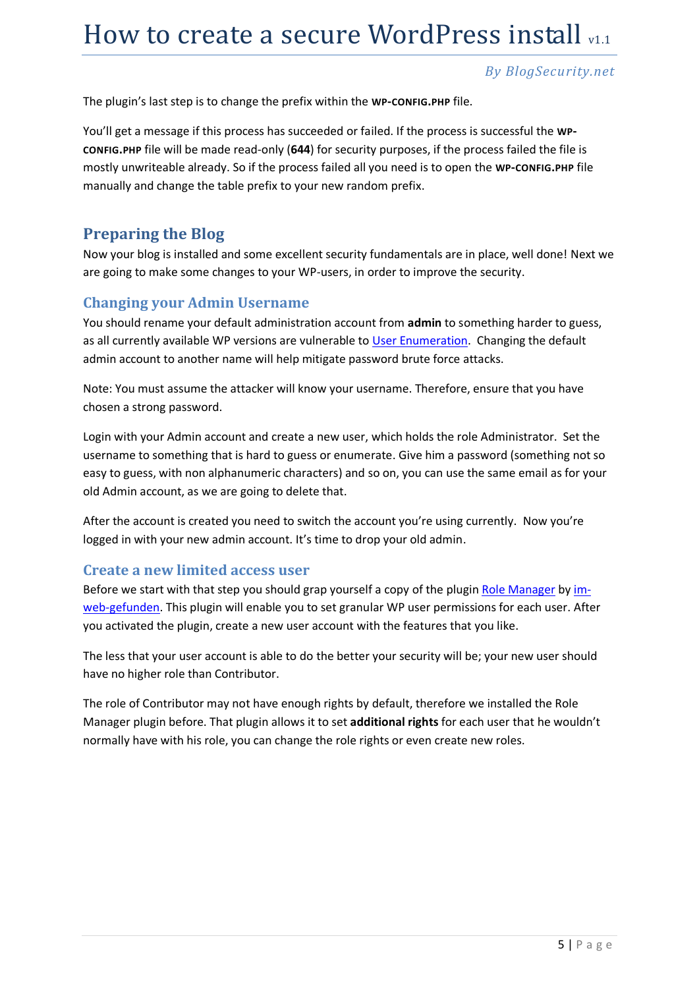#### *By BlogSecurity.net*

The plugin's last step is to change the prefix within the **WP-CONFIG.PHP** file.

You'll get a message if this process has succeeded or failed. If the process is successful the **WP-CONFIG.PHP** file will be made read-only (**644**) for security purposes, if the process failed the file is mostly unwriteable already. So if the process failed all you need is to open the **WP-CONFIG.PHP** file manually and change the table prefix to your new random prefix.

### **Preparing the Blog**

Now your blog is installed and some excellent security fundamentals are in place, well done! Next we are going to make some changes to your WP-users, in order to improve the security.

### **Changing your Admin Username**

You should rename your default administration account from **admin** to something harder to guess, as all currently available WP versions are vulnerable to [User Enumeration.](http://blogsecurity.net/news/news-180707) Changing the default admin account to another name will help mitigate password brute force attacks.

Note: You must assume the attacker will know your username. Therefore, ensure that you have chosen a strong password.

Login with your Admin account and create a new user, which holds the role Administrator. Set the username to something that is hard to guess or enumerate. Give him a password (something not so easy to guess, with non alphanumeric characters) and so on, you can use the same email as for your old Admin account, as we are going to delete that.

After the account is created you need to switch the account you're using currently. Now you're logged in with your new admin account. It's time to drop your old admin.

#### **Create a new limited access user**

Before we start with that step you should grap yourself a copy of the plugi[n Role Manager](http://www.im-web-gefunden.de/wordpress-plugins/role-manager/) b[y im](http://www.im-web-gefunden.de/wordpress-plugins/role-manager/)[web-gefunden.](http://www.im-web-gefunden.de/wordpress-plugins/role-manager/) This plugin will enable you to set granular WP user permissions for each user. After you activated the plugin, create a new user account with the features that you like.

The less that your user account is able to do the better your security will be; your new user should have no higher role than Contributor.

The role of Contributor may not have enough rights by default, therefore we installed the Role Manager plugin before. That plugin allows it to set **additional rights** for each user that he wouldn't normally have with his role, you can change the role rights or even create new roles.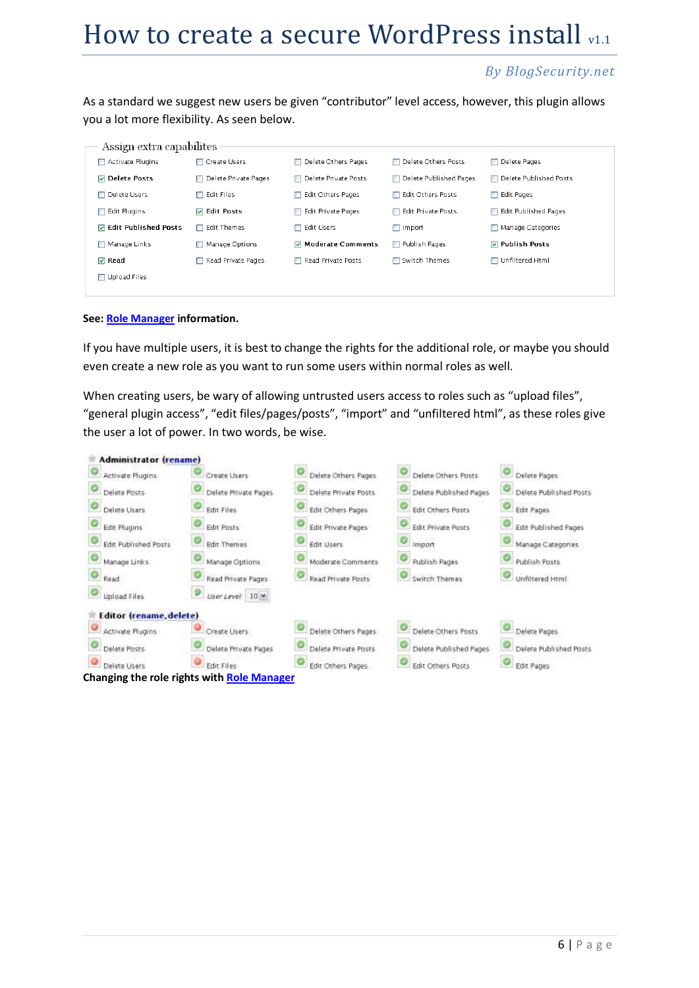#### *By BlogSecurity.net*

As a standard we suggest new users be given "contributor" level access, however, this plugin allows you a lot more flexibility. As seen below.

| Assign extra capabilites      |                      |                        |                          |                        |
|-------------------------------|----------------------|------------------------|--------------------------|------------------------|
| Activate Plugins              | □ Create Users       | □ Delete Others Pages  | □ Delete Others Posts    | □ Delete Pages         |
| <b>▽</b> Delete Posts         | Delete Private Pages | □ Delete Private Posts | □ Delete Published Pages | Delete Published Posts |
| □ Delete Users                | $\Box$ Edit Files    | Edit Others Pages      | □ Edit Others Posts      | <b>□ Edit Pages</b>    |
| $\Box$ Edit Plugins           | <b>▽ Edit Posts</b>  | □ Edit Private Pages   | Edit Private Posts       | □ Edit Published Pages |
| <b>▽</b> Edit Published Posts | Edit Themes<br>П     | <b>□ Edit Users</b>    | $\Box$ Import            | Manage Categories      |
| Manage Links                  | Manage Options       | Moderate Comments      | Publish Pages            | <b>▽</b> Publish Posts |
| $\nabla$ Read                 | Read Private Pages   | Read Private Posts     | Switch Themes            | □ Unfiltered Html      |
| □ Upload Files                |                      |                        |                          |                        |
|                               |                      |                        |                          |                        |

#### **See[: Role Manager](http://www.im-web-gefunden.de/wordpress-plugins/role-manager/) information.**

If you have multiple users, it is best to change the rights for the additional role, or maybe you should even create a new role as you want to run some users within normal roles as well.

When creating users, be wary of allowing untrusted users access to roles such as "upload files", "general plugin access", "edit files/pages/posts", "import" and "unfiltered html", as these roles give the user a lot of power. In two words, be wise.

| Administrator (rename)         |                                                   |                      |                           |                             |
|--------------------------------|---------------------------------------------------|----------------------|---------------------------|-----------------------------|
| Activate Plugins               | Create Lisers                                     | Delete Others Pages  | Delete Others Posts       | Delete Pages                |
| Delete Posts                   | Delete Private Pages                              | Delete Private Posts | Delete Published Pages    | Delete Published Posts      |
| Delete Users                   | Edit Files                                        | Edit Others Pages    | Edit Others Pasts         | <b>Edit Pages</b>           |
| Edit Plugins                   | <b>Edit Posts</b>                                 | Edit Private Pages   | <b>Edit Private Posts</b> | <b>Edit Published Pages</b> |
| <b>Edit Published Posts</b>    | <b>Edit Themes</b>                                | <b>Edit Users</b>    | Import                    | Manage Categories           |
| Manage Links                   | Manage Options                                    | Maderate Comments    | Publish Pages             | Publish Posts               |
| Read                           | Read Private Pages                                | Read Private Posts   | <b>Switch Themes</b>      | Unfiltered Html             |
| Upload Files                   | User Level: 10 M                                  |                      |                           |                             |
| <b>Editor</b> (rename, delete) |                                                   |                      |                           |                             |
| Activate Plugins               | Create Users                                      | Delete Others Pages  | Delete Others Posts       | Delete Pages                |
| Delete Posts                   | Delete Private Pages                              | Delete Private Posts | Delete Published Pages    | Delete Published Posts      |
| Delete Users                   | Edit Files                                        | Edit Others Pages    | Edit Others Posts         | Edit Pages                  |
|                                | <b>Changing the role rights with Role Manager</b> |                      |                           |                             |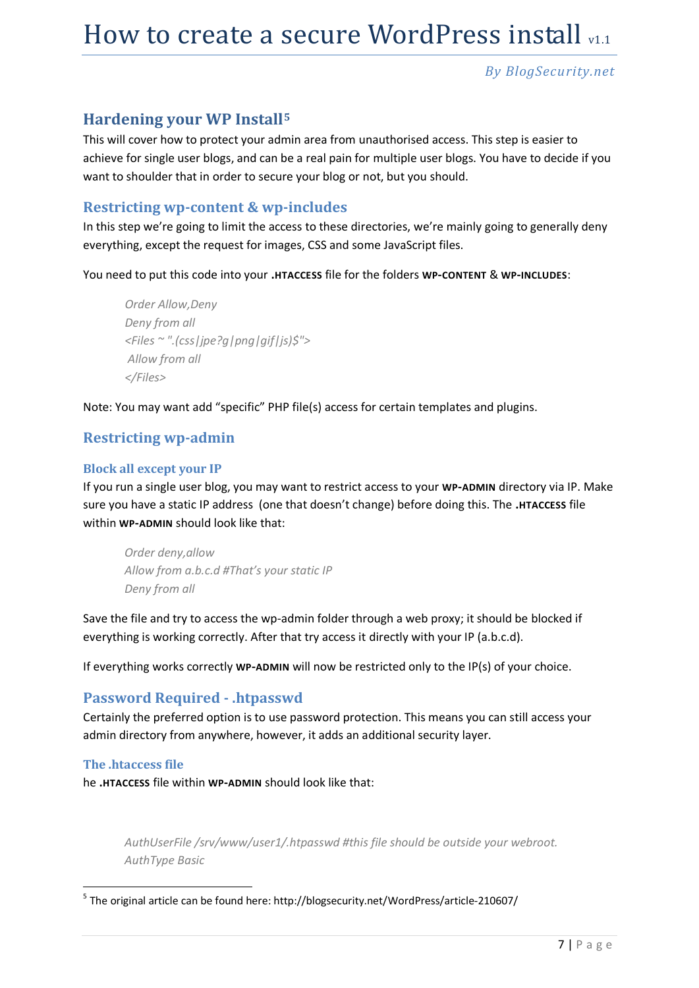### **Hardening your WP Install<sup>5</sup>**

This will cover how to protect your admin area from unauthorised access. This step is easier to achieve for single user blogs, and can be a real pain for multiple user blogs. You have to decide if you want to shoulder that in order to secure your blog or not, but you should.

#### **Restricting wp-content & wp-includes**

In this step we're going to limit the access to these directories, we're mainly going to generally deny everything, except the request for images, CSS and some JavaScript files.

You need to put this code into your **.HTACCESS** file for the folders **WP-CONTENT** & **WP-INCLUDES**:

```
Order Allow,Deny
Deny from all
<Files ~ ".(css|jpe?g|png|gif|js)$">
Allow from all
</Files>
```
Note: You may want add "specific" PHP file(s) access for certain templates and plugins.

### **Restricting wp-admin**

#### **Block all except your IP**

If you run a single user blog, you may want to restrict access to your **WP-ADMIN** directory via IP. Make sure you have a static IP address (one that doesn't change) before doing this. The **.HTACCESS** file within **WP-ADMIN** should look like that:

*Order deny,allow Allow from a.b.c.d #That's your static IP Deny from all*

Save the file and try to access the wp-admin folder through a web proxy; it should be blocked if everything is working correctly. After that try access it directly with your IP (a.b.c.d).

If everything works correctly **WP-ADMIN** will now be restricted only to the IP(s) of your choice.

#### **Password Required - .htpasswd**

Certainly the preferred option is to use password protection. This means you can still access your admin directory from anywhere, however, it adds an additional security layer.

#### **The .htaccess file**

he **.HTACCESS** file within **WP-ADMIN** should look like that:

*AuthUserFile /srv/www/user1/.htpasswd #this file should be outside your webroot. AuthType Basic*

5 The original article can be found here: http://blogsecurity.net/WordPress/article-210607/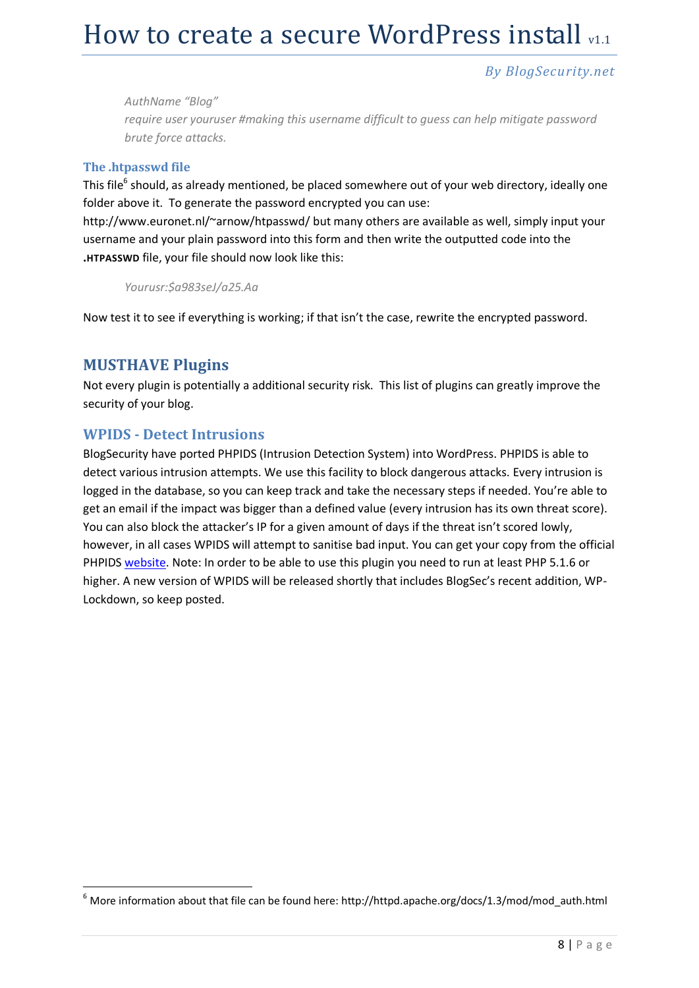#### *By BlogSecurity.net*

*AuthName "Blog" require user youruser #making this username difficult to guess can help mitigate password brute force attacks.*

#### **The .htpasswd file**

This file<sup>6</sup> should, as already mentioned, be placed somewhere out of your web directory, ideally one folder above it. To generate the password encrypted you can use:

http://www.euronet.nl/~arnow/htpasswd/ but many others are available as well, simply input your username and your plain password into this form and then write the outputted code into the **.HTPASSWD** file, your file should now look like this:

*Yourusr:\$a983seJ/a25.Aa*

Now test it to see if everything is working; if that isn't the case, rewrite the encrypted password.

### **MUSTHAVE Plugins**

-

Not every plugin is potentially a additional security risk. This list of plugins can greatly improve the security of your blog.

#### **WPIDS - Detect Intrusions**

BlogSecurity have ported PHPIDS (Intrusion Detection System) into WordPress. PHPIDS is able to detect various intrusion attempts. We use this facility to block dangerous attacks. Every intrusion is logged in the database, so you can keep track and take the necessary steps if needed. You're able to get an email if the impact was bigger than a defined value (every intrusion has its own threat score). You can also block the attacker's IP for a given amount of days if the threat isn't scored lowly, however, in all cases WPIDS will attempt to sanitise bad input. You can get your copy from the official PHPIDS [website.](http://php-ids.org/files/wp-ids.zip) Note: In order to be able to use this plugin you need to run at least PHP 5.1.6 or higher. A new version of WPIDS will be released shortly that includes BlogSec's recent addition, WP-Lockdown, so keep posted.

 $^6$  More information about that file can be found here: http://httpd.apache.org/docs/1.3/mod/mod\_auth.html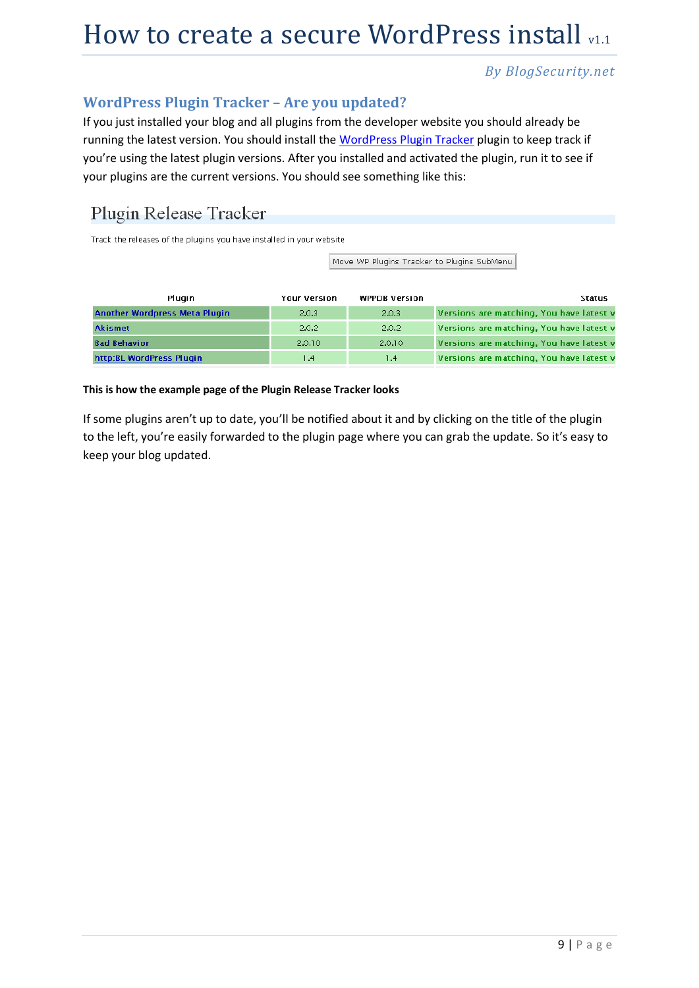### **WordPress Plugin Tracker – Are you updated?**

If you just installed your blog and all plugins from the developer website you should already be running the latest version. You should install the WordPress [Plugin Tracker](http://www.wp-plugins-db.org/wp-plugins-tracker/) plugin to keep track if you're using the latest plugin versions. After you installed and activated the plugin, run it to see if your plugins are the current versions. You should see something like this:

## Plugin Release Tracker

Track the releases of the plugins you have installed in your website

Move WP Plugins Tracker to Plugins SubMenu

| Plugin                        | <b>Your Version</b> | <b>WPPDB Version</b> | Status                                   |
|-------------------------------|---------------------|----------------------|------------------------------------------|
| Another Wordpress Meta Plugin | 2.0.3               | 2.0.3                | Versions are matching, You have latest v |
| <b>Akismet</b>                | 2.0.2               | 2.0.2                | Versions are matching, You have latest v |
| <b>Bad Behavior</b>           | 2.0.10              | 2.0.10               | Versions are matching, You have latest v |
| http:BL WordPress Plugin      | 1.4                 | 1.4                  | Versions are matching, You have latest v |

#### **This is how the example page of the Plugin Release Tracker looks**

If some plugins aren't up to date, you'll be notified about it and by clicking on the title of the plugin to the left, you're easily forwarded to the plugin page where you can grab the update. So it's easy to keep your blog updated.